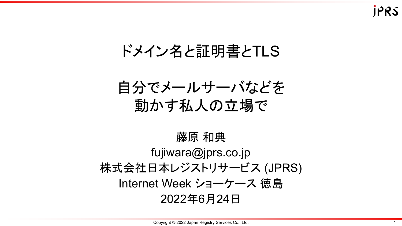### ドメイン名と証明書とTLS

自分でメールサーバなどを 動かす私人の立場で

藤原 和典 fujiwara@jprs.co.jp 株式会社日本レジストリサービス (JPRS) Internet Week ショーケース 徳島 2022年6月24日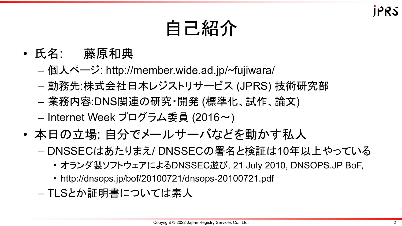## 自己紹介

- 氏名: 藤原和典
	- 個人ページ: http://member.wide.ad.jp/~fujiwara/
	- 勤務先:株式会社日本レジストリサービス (JPRS) 技術研究部
	- 業務内容:DNS関連の研究・開発 (標準化、試作、論文) – Internet Week プログラム委員 (2016~)
- 本日の立場: 自分でメールサーバなどを動かす私人
	- DNSSECはあたりまえ/ DNSSECの署名と検証は10年以上やっている
		- オランダ製ソフトウェアによるDNSSEC遊び, 21 July 2010, DNSOPS.JP BoF,
		- http://dnsops.jp/bof/20100721/dnsops-20100721.pdf
	- TLSとか証明書については素人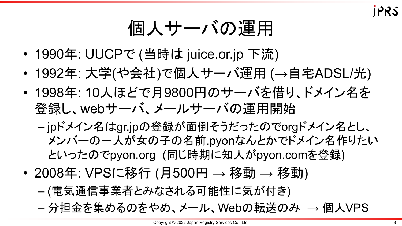個人サーバの運用

- 1990年: UUCPで (当時は juice.or.jp 下流)
- 1992年: 大学(や会社)で個人サーバ運用 (→自宅ADSL/光)
- 1998年: 10人ほどで月9800円のサーバを借り、ドメイン名を 登録し、webサーバ、メールサーバの運用開始
	- jpドメイン名はgr.jpの登録が面倒そうだったのでorgドメイン名とし、 メンバーの一人が女の子の名前.pyonなんとかでドメイン名作りたい といったのでpyon.org (同じ時期に知人がpyon.comを登録)
- 2008年: VPSに移行 (月500円 → 移動 → 移動)
	- (電気通信事業者とみなされる可能性に気が付き)
	- 分担金を集めるのをやめ、メール、Webの転送のみ → 個人VPS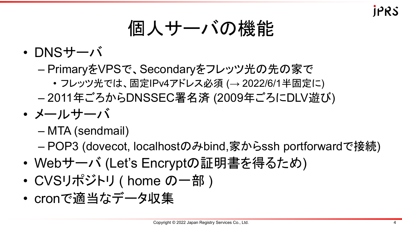# 個人サーバの機能

- DNSサーバ
	- PrimaryをVPSで、Secondaryをフレッツ光の先の家で
		- フレッツ光では、固定IPv4アドレス必須 (→ 2022/6/1半固定に)
	- 2011年ごろからDNSSEC署名済 (2009年ごろにDLV遊び)
- メールサーバ
	- MTA (sendmail)
	- POP3 (dovecot, localhostのみbind,家からssh portforwardで接続)
- Webサーバ (Let's Encryptの証明書を得るため)
- CVSリポジトリ ( home の一部 )
- cronで適当なデータ収集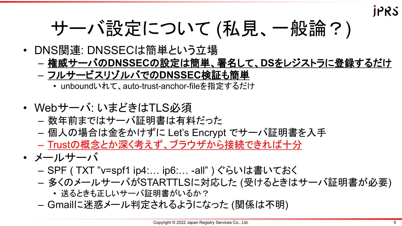# サーバ設定について (私見、一般論?)

- DNS関連: DNSSECは簡単という立場
	- 権威サーバの**DNSSEC**の設定は簡単、署名して、**DS**をレジストラに登録するだけ
	- フルサービスリゾルバでの**DNSSEC**検証も簡単
		- unboundいれて、auto-trust-anchor-fileを指定するだけ
- Webサーバ: いまどきはTLS必須
	- 数年前まではサーバ証明書は有料だった
	- 個人の場合は金をかけずに Let's Encrypt でサーバ証明書を入手
	- Trustの概念とか深く考えず、ブラウザから接続できれば十分
- メールサーバ
	- SPF ( TXT "v=spf1 ip4:… ip6:… -all" ) ぐらいは書いておく
	- 多くのメールサーバがSTARTTLSに対応した (受けるときはサーバ証明書が必要)
		- 送るときも正しいサーバ証明書がいるか?
	- Gmailに迷惑メール判定されるようになった (関係は不明)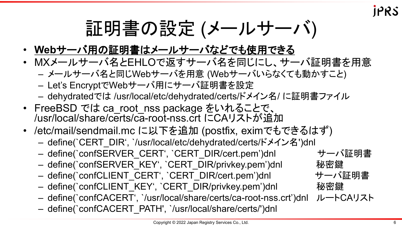証明書の設定 (メールサーバ)

- **Web**サーバ用の証明書はメールサーバなどでも使用できる
- MXメールサーバ名とEHLOで返すサーバ名を同じにし、サーバ証明書を用意
	- メールサーバ名と同じWebサーバを用意 (Webサーバいらなくても動かすこと)
	- Let's EncryptでWebサーバ用にサーバ証明書を設定
	- dehydratedでは /usr/local/etc/dehydrated/certs/ドメイン名/ に証明書ファイル
- FreeBSD では ca\_root\_nss package をいれることで、 /usr/local/share/certs/ca-root-nss.crt にCAリストが追加
- /etc/mail/sendmail.mc に以下を追加 (postfix, eximでもできるはず)
	- define(`CERT\_DIR', `/usr/local/etc/dehydrated/certs/ドメイン名')dnl
	- define(`confSERVER\_CERT', `CERT\_DIR/cert.pem')dnl サーバ証明書
	- define(`confSERVER KEY', `CERT\_DIR/privkey.pem')dnl 秘密鍵
	- define(`confCLIENT CERT', `CERT DIR/cert.pem')dnl サーバ証明書
	- define(`confCLIENT\_KEY', `CERT\_DIR/privkey.pem')dnl 秘密鍵
	- define(`confCACERT', `/usr/local/share/certs/ca-root-nss.crt')dnl ルートCAリスト
	- define(`confCACERT\_PATH', `/usr/local/share/certs/')dnl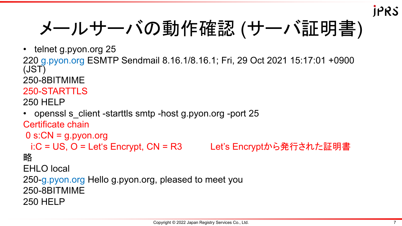メールサーバの動作確認 (サーバ証明書)

• telnet g.pyon.org 25

220 g.pyon.org ESMTP Sendmail 8.16.1/8.16.1; Fri, 29 Oct 2021 15:17:01 +0900 (JST)

250-8BITMIME

#### 250-STARTTLS

250 HELP

• openssl s client -starttls smtp -host g.pyon.org -port 25 Certificate chain

```
0 s:CN = g.pyon.org
i:C = US, O = Let's Encrypt, CN = R3 Let's Encryptから発行された証明書
```
略

EHLO local

250-g.pyon.org Hello g.pyon.org, pleased to meet you 250-8BITMIME 250 HELP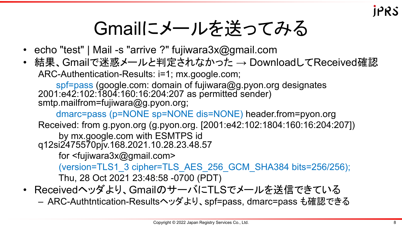### Gmailにメールを送ってみる

- echo "test" | Mail -s "arrive ?" fujiwara3x@gmail.com
- 結果、Gmailで迷惑メールと判定されなかった → DownloadしてReceived確認 ARC-Authentication-Results: i=1; mx.google.com;

spf=pass (google.com: domain of fujiwara@g.pyon.org designates 2001:e42:102:1804:160:16:204:207 as permitted sender) smtp.mailfrom=fujiwara@g.pyon.org;

dmarc=pass (p=NONE sp=NONE dis=NONE) header.from=pyon.org Received: from g.pyon.org (g.pyon.org. [2001:e42:102:1804:160:16:204:207]) by mx.google.com with ESMTPS id

q12si2475570pjv.168.2021.10.28.23.48.57

for <fujiwara3x@gmail.com>

(version=TLS1\_3 cipher=TLS\_AES\_256\_GCM\_SHA384 bits=256/256); Thu, 28 Oct 2021 23:48:58 -0700 (PDT)

- Receivedヘッダより、GmailのサーバにTLSでメールを送信できている
	- ARC-Authtntication-Resultsヘッダより、spf=pass, dmarc=pass も確認できる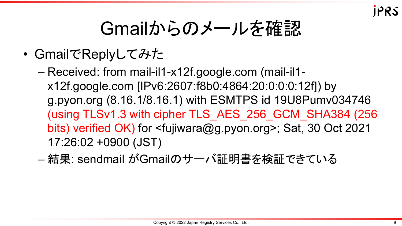## Gmailからのメールを確認

- GmailでReplyしてみた
	- Received: from mail-il1-x12f.google.com (mail-il1 x12f.google.com [IPv6:2607:f8b0:4864:20:0:0:0:12f]) by g.pyon.org (8.16.1/8.16.1) with ESMTPS id 19U8Pumv034746 (using TLSv1.3 with cipher TLS\_AES\_256\_GCM\_SHA384 (256 bits) verified OK) for <fujiwara@g.pyon.org>; Sat, 30 Oct 2021 17:26:02 +0900 (JST)
	- 結果: sendmail がGmailのサーバ証明書を検証できている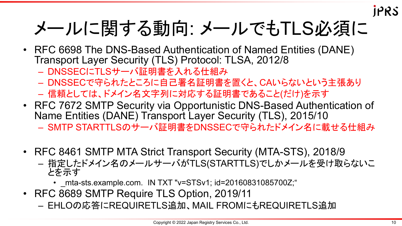# メールに関する動向: メールでもTLS必須に

- RFC 6698 The DNS-Based Authentication of Named Entities (DANE) Transport Layer Security (TLS) Protocol: TLSA, 2012/8
	- DNSSECにTLSサーバ証明書を入れる仕組み
	- DNSSECで守られたところに自己署名証明書を置くと、CAいらないという主張あり
	- 信頼としては、ドメイン名文字列に対応する証明書であること(だけ)を示す
- RFC 7672 SMTP Security via Opportunistic DNS-Based Authentication of Name Entities (DANE) Transport Layer Security (TLS), 2015/10 – SMTP STARTTLSのサーバ証明書をDNSSECで守られたドメイン名に載せる仕組み
- RFC 8461 SMTP MTA Strict Transport Security (MTA-STS), 2018/9
	- 指定したドメイン名のメールサーバがTLS(STARTTLS)でしかメールを受け取らないこ とを示す
		- \_mta-sts.example.com. IN TXT "v=STSv1; id=20160831085700Z;"
- RFC 8689 SMTP Require TLS Option, 2019/11
	- EHLOの応答にREQUIRETLS追加、MAIL FROMにもREQUIRETLS追加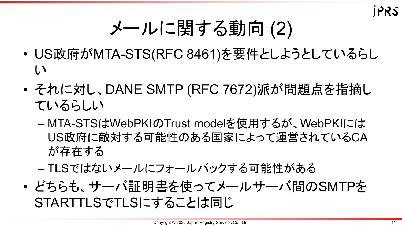# メールに関する動向 (2)

- US政府がMTA-STS(RFC 8461)を要件としようとしているらし い
- それに対し、DANE SMTP (RFC 7672)派が問題点を指摘し ているらしい
	- MTA-STSはWebPKIのTrust modelを使用するが、WebPKIには US政府に敵対する可能性のある国家によって運営されているCA が存在する
	- TLSではないメールにフォールバックする可能性がある
- どちらも、サーバ証明書を使ってメールサーバ間のSMTPを STARTTLSでTLSにすることは同じ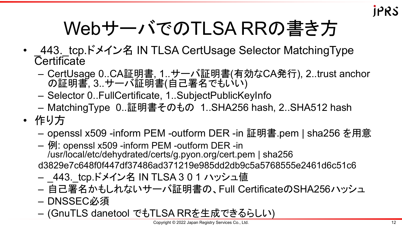

# WebサーバでのTLSA RRの書き方

- 443. tcp.ドメイン名 IN TLSA CertUsage Selector MatchingType **Certificate** 
	- CertUsage 0..CA証明書, 1..サーバ証明書(有効なCA発行), 2..trust anchor の証明書, 3..サーバ証明書(自己署名でもいい)
	- Selector 0..FullCertificate, 1..SubjectPublicKeyInfo
	- MatchingType 0..証明書そのもの 1..SHA256 hash, 2..SHA512 hash
- 作り方
	- openssl x509 -inform PEM -outform DER -in 証明書.pem | sha256 を用意
	- 例: openssl x509 -inform PEM -outform DER -in /usr/local/etc/dehydrated/certs/g.pyon.org/cert.pem | sha256 d3829e7c648f0f447df37486ad371219e985dd2db9c5a5768555e2461d6c51c6
	- 443. tcp.ドメイン名 IN TLSA 3 0 1 ハッシュ値
	- 自己署名かもしれないサーバ証明書の、Full CertificateのSHA256ハッシュ
	- DNSSEC必須
	- (GnuTLS danetool でもTLSA RRを生成できるらしい)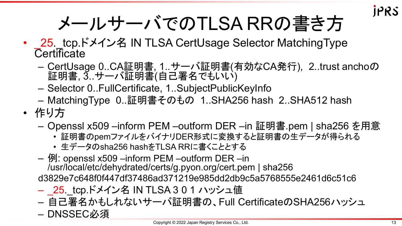# メールサーバでのTLSA RRの書き方

- 25. tcp.ドメイン名 IN TLSA CertUsage Selector MatchingType **Certificate** 
	- CertUsage 0..CA証明書, 1..サーバ証明書(有効なCA発行), 2..trust anchoの 証明書, 3..サーバ証明書(自己署名でもいい)
	- Selector 0..FullCertificate, 1..SubjectPublicKeyInfo
	- MatchingType 0..証明書そのもの 1..SHA256 hash 2..SHA512 hash
- 作り方
	- Openssl x509 –inform PEM –outform DER –in 証明書.pem | sha256 を用意
		- 証明書のpemファイルをバイナリDER形式に変換すると証明書の生データが得られる
		- 生データのsha256 hashをTLSA RRに書くこととする
	- 例: openssl x509 –inform PEM –outform DER –in /usr/local/etc/dehydrated/certs/g.pyon.org/cert.pem | sha256 d3829e7c648f0f447df37486ad371219e985dd2db9c5a5768555e2461d6c51c6
	- 25 tcp.ドメイン名 IN TLSA 3 0 1 ハッシュ値
	- 自己署名かもしれないサーバ証明書の、Full CertificateのSHA256ハッシュ – DNSSEC必須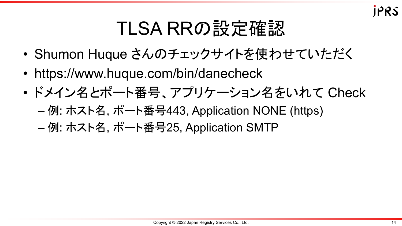## TLSA RRの設定確認

- Shumon Huque さんのチェックサイトを使わせていただく
- https://www.huque.com/bin/danecheck
- ドメイン名とポート番号、アプリケーション名をいれて Check
	- 例: ホスト名, ポート番号443, Application NONE (https)
	- 例: ホスト名, ポート番号25, Application SMTP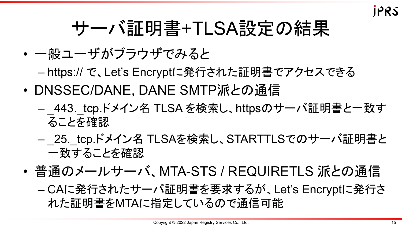

## サーバ証明書+TLSA設定の結果

- 一般ユーザがブラウザでみると
	- https:// で、Let's Encryptに発行された証明書でアクセスできる
- DNSSEC/DANE, DANE SMTP派との通信
	- 443. tcp.ドメイン名 TLSA を検索し、httpsのサーバ証明書と一致す ることを確認
	- 25. tcp.ドメイン名 TLSAを検索し、STARTTLSでのサーバ証明書と 一致することを確認
- 普通のメールサーバ、MTA-STS / REQUIRETLS 派との通信

– CAに発行されたサーバ証明書を要求するが、Let's Encryptに発行さ れた証明書をMTAに指定しているので通信可能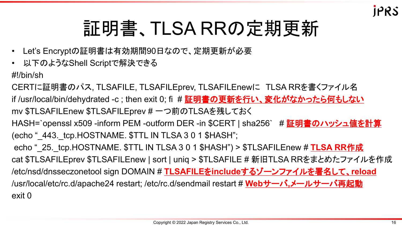# 証明書、TLSA RRの定期更新

- Let's Encryptの証明書は有効期間90日なので、定期更新が必要
- 以下のようなShell Scriptで解決できる

#!/bin/sh

CERTに証明書のパス, TLSAFILE, TLSAFILEprev, TLSAFILEnewに TLSA RRを書くファイル名 if /usr/local/bin/dehydrated -c; then exit 0; fi # 証明書の更新を行い、変化がなかったら何もしない mv \$TLSAFILEnew \$TLSAFILEprev # 一つ前のTLSAを残しておく HASH=`openssl x509 -inform PEM -outform DER -in \$CERT | sha256` # <mark>証明書のハッシュ値を計算</mark> (echo " 443. tcp.HOSTNAME. \$TTL IN TLSA 3 0 1 \$HASH"; echo "\_25.\_tcp.HOSTNAME. \$TTL IN TLSA 3 0 1 \$HASH") > \$TLSAFILEnew # **TLSA RR**作成 cat \$TLSAFILEprev \$TLSAFILEnew | sort | uniq > \$TLSAFILE # 新旧TLSA RRをまとめたファイルを作成 /etc/nsd/dnsseczonetool sign DOMAIN # **TLSAFILE**を**include**するゾーンファイルを署名して、**reload** /usr/local/etc/rc.d/apache24 restart; /etc/rc.d/sendmail restart # **Web**サーバ**,**メールサーバ再起動 exit 0